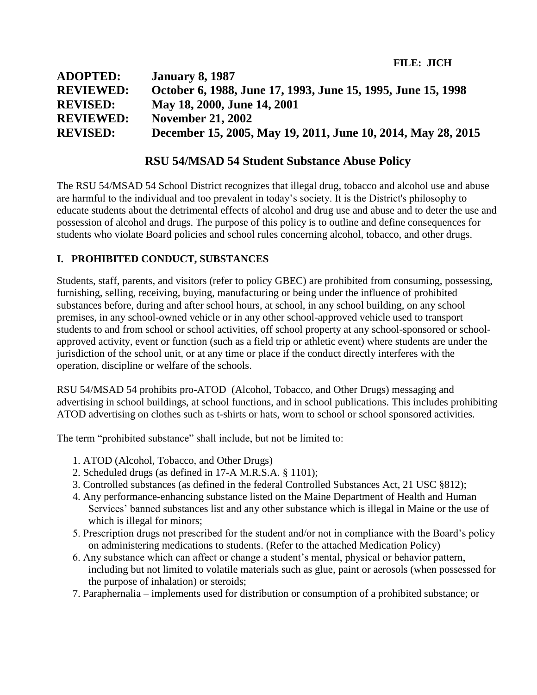**FILE: JICH**

| <b>ADOPTED:</b>  | <b>January 8, 1987</b>                                       |
|------------------|--------------------------------------------------------------|
| <b>REVIEWED:</b> | October 6, 1988, June 17, 1993, June 15, 1995, June 15, 1998 |
| <b>REVISED:</b>  | May 18, 2000, June 14, 2001                                  |
| <b>REVIEWED:</b> | <b>November 21, 2002</b>                                     |
| <b>REVISED:</b>  | December 15, 2005, May 19, 2011, June 10, 2014, May 28, 2015 |

# **RSU 54/MSAD 54 Student Substance Abuse Policy**

The RSU 54/MSAD 54 School District recognizes that illegal drug, tobacco and alcohol use and abuse are harmful to the individual and too prevalent in today's society. It is the District's philosophy to educate students about the detrimental effects of alcohol and drug use and abuse and to deter the use and possession of alcohol and drugs. The purpose of this policy is to outline and define consequences for students who violate Board policies and school rules concerning alcohol, tobacco, and other drugs.

# **I. PROHIBITED CONDUCT, SUBSTANCES**

Students, staff, parents, and visitors (refer to policy GBEC) are prohibited from consuming, possessing, furnishing, selling, receiving, buying, manufacturing or being under the influence of prohibited substances before, during and after school hours, at school, in any school building, on any school premises, in any school-owned vehicle or in any other school-approved vehicle used to transport students to and from school or school activities, off school property at any school-sponsored or schoolapproved activity, event or function (such as a field trip or athletic event) where students are under the jurisdiction of the school unit, or at any time or place if the conduct directly interferes with the operation, discipline or welfare of the schools.

RSU 54/MSAD 54 prohibits pro-ATOD (Alcohol, Tobacco, and Other Drugs) messaging and advertising in school buildings, at school functions, and in school publications. This includes prohibiting ATOD advertising on clothes such as t-shirts or hats, worn to school or school sponsored activities.

The term "prohibited substance" shall include, but not be limited to:

- 1. ATOD (Alcohol, Tobacco, and Other Drugs)
- 2. Scheduled drugs (as defined in 17-A M.R.S.A. § 1101);
- 3. Controlled substances (as defined in the federal Controlled Substances Act, 21 USC §812);
- 4. Any performance-enhancing substance listed on the Maine Department of Health and Human Services' banned substances list and any other substance which is illegal in Maine or the use of which is illegal for minors;
- 5. Prescription drugs not prescribed for the student and/or not in compliance with the Board's policy on administering medications to students. (Refer to the attached Medication Policy)
- 6. Any substance which can affect or change a student's mental, physical or behavior pattern, including but not limited to volatile materials such as glue, paint or aerosols (when possessed for the purpose of inhalation) or steroids;
- 7. Paraphernalia implements used for distribution or consumption of a prohibited substance; or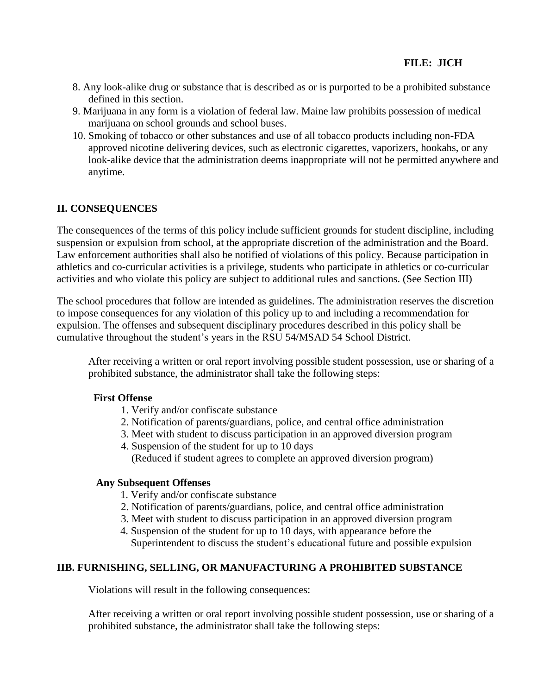- 8. Any look-alike drug or substance that is described as or is purported to be a prohibited substance defined in this section.
- 9. Marijuana in any form is a violation of federal law. Maine law prohibits possession of medical marijuana on school grounds and school buses.
- 10. Smoking of tobacco or other substances and use of all tobacco products including non-FDA approved nicotine delivering devices, such as electronic cigarettes, vaporizers, hookahs, or any look-alike device that the administration deems inappropriate will not be permitted anywhere and anytime.

## **II. CONSEQUENCES**

The consequences of the terms of this policy include sufficient grounds for student discipline, including suspension or expulsion from school, at the appropriate discretion of the administration and the Board. Law enforcement authorities shall also be notified of violations of this policy. Because participation in athletics and co-curricular activities is a privilege, students who participate in athletics or co-curricular activities and who violate this policy are subject to additional rules and sanctions. (See Section III)

The school procedures that follow are intended as guidelines. The administration reserves the discretion to impose consequences for any violation of this policy up to and including a recommendation for expulsion. The offenses and subsequent disciplinary procedures described in this policy shall be cumulative throughout the student's years in the RSU 54/MSAD 54 School District.

After receiving a written or oral report involving possible student possession, use or sharing of a prohibited substance, the administrator shall take the following steps:

### **First Offense**

- 1. Verify and/or confiscate substance
- 2. Notification of parents/guardians, police, and central office administration
- 3. Meet with student to discuss participation in an approved diversion program
- 4. Suspension of the student for up to 10 days (Reduced if student agrees to complete an approved diversion program)

#### **Any Subsequent Offenses**

- 1. Verify and/or confiscate substance
- 2. Notification of parents/guardians, police, and central office administration
- 3. Meet with student to discuss participation in an approved diversion program
- 4. Suspension of the student for up to 10 days, with appearance before the Superintendent to discuss the student's educational future and possible expulsion

### **IIB. FURNISHING, SELLING, OR MANUFACTURING A PROHIBITED SUBSTANCE**

Violations will result in the following consequences:

After receiving a written or oral report involving possible student possession, use or sharing of a prohibited substance, the administrator shall take the following steps: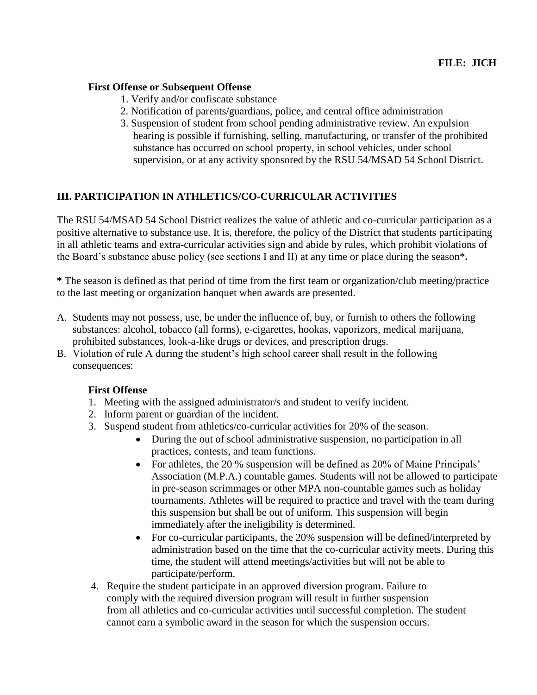### **First Offense or Subsequent Offense**

- 1. Verify and/or confiscate substance
- 2. Notification of parents/guardians, police, and central office administration
- 3. Suspension of student from school pending administrative review. An expulsion hearing is possible if furnishing, selling, manufacturing, or transfer of the prohibited substance has occurred on school property, in school vehicles, under school supervision, or at any activity sponsored by the RSU 54/MSAD 54 School District.

## **III. PARTICIPATION IN ATHLETICS/CO-CURRICULAR ACTIVITIES**

The RSU 54/MSAD 54 School District realizes the value of athletic and co-curricular participation as a positive alternative to substance use. It is, therefore, the policy of the District that students participating in all athletic teams and extra-curricular activities sign and abide by rules, which prohibit violations of the Board's substance abuse policy (see sections I and II) at any time or place during the season\***.**

**\*** The season is defined as that period of time from the first team or organization/club meeting/practice to the last meeting or organization banquet when awards are presented.

- A. Students may not possess, use, be under the influence of, buy, or furnish to others the following substances: alcohol, tobacco (all forms), e-cigarettes, hookas, vaporizors, medical marijuana, prohibited substances, look-a-like drugs or devices, and prescription drugs.
- B. Violation of rule A during the student's high school career shall result in the following consequences:

#### **First Offense**

- 1. Meeting with the assigned administrator/s and student to verify incident.
- 2. Inform parent or guardian of the incident.
- 3. Suspend student from athletics/co-curricular activities for 20% of the season.
	- During the out of school administrative suspension, no participation in all practices, contests, and team functions.
	- For athletes, the 20 % suspension will be defined as 20% of Maine Principals' Association (M.P.A.) countable games. Students will not be allowed to participate in pre-season scrimmages or other MPA non-countable games such as holiday tournaments. Athletes will be required to practice and travel with the team during this suspension but shall be out of uniform. This suspension will begin immediately after the ineligibility is determined.
	- For co-curricular participants, the 20% suspension will be defined/interpreted by administration based on the time that the co-curricular activity meets. During this time, the student will attend meetings/activities but will not be able to participate/perform.
- 4. Require the student participate in an approved diversion program. Failure to comply with the required diversion program will result in further suspension from all athletics and co-curricular activities until successful completion. The student cannot earn a symbolic award in the season for which the suspension occurs.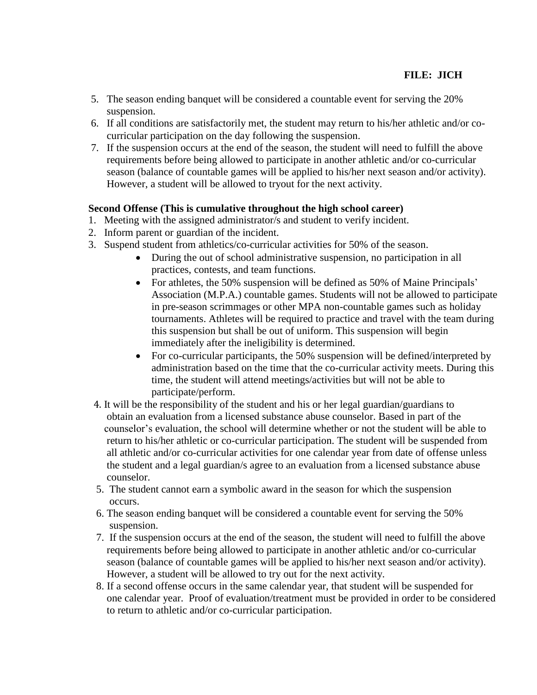- 5. The season ending banquet will be considered a countable event for serving the 20% suspension.
- 6. If all conditions are satisfactorily met, the student may return to his/her athletic and/or cocurricular participation on the day following the suspension.
- 7. If the suspension occurs at the end of the season, the student will need to fulfill the above requirements before being allowed to participate in another athletic and/or co-curricular season (balance of countable games will be applied to his/her next season and/or activity). However, a student will be allowed to tryout for the next activity.

### **Second Offense (This is cumulative throughout the high school career)**

- 1. Meeting with the assigned administrator/s and student to verify incident.
- 2. Inform parent or guardian of the incident.
- 3. Suspend student from athletics/co-curricular activities for 50% of the season.
	- During the out of school administrative suspension, no participation in all practices, contests, and team functions.
	- For athletes, the 50% suspension will be defined as 50% of Maine Principals' Association (M.P.A.) countable games. Students will not be allowed to participate in pre-season scrimmages or other MPA non-countable games such as holiday tournaments. Athletes will be required to practice and travel with the team during this suspension but shall be out of uniform. This suspension will begin immediately after the ineligibility is determined.
	- For co-curricular participants, the 50% suspension will be defined/interpreted by administration based on the time that the co-curricular activity meets. During this time, the student will attend meetings/activities but will not be able to participate/perform.
- 4. It will be the responsibility of the student and his or her legal guardian/guardians to obtain an evaluation from a licensed substance abuse counselor. Based in part of the counselor's evaluation, the school will determine whether or not the student will be able to return to his/her athletic or co-curricular participation. The student will be suspended from all athletic and/or co-curricular activities for one calendar year from date of offense unless the student and a legal guardian/s agree to an evaluation from a licensed substance abuse counselor.
- 5. The student cannot earn a symbolic award in the season for which the suspension occurs.
- 6. The season ending banquet will be considered a countable event for serving the 50% suspension.
- 7. If the suspension occurs at the end of the season, the student will need to fulfill the above requirements before being allowed to participate in another athletic and/or co-curricular season (balance of countable games will be applied to his/her next season and/or activity). However, a student will be allowed to try out for the next activity.
- 8. If a second offense occurs in the same calendar year, that student will be suspended for one calendar year. Proof of evaluation/treatment must be provided in order to be considered to return to athletic and/or co-curricular participation.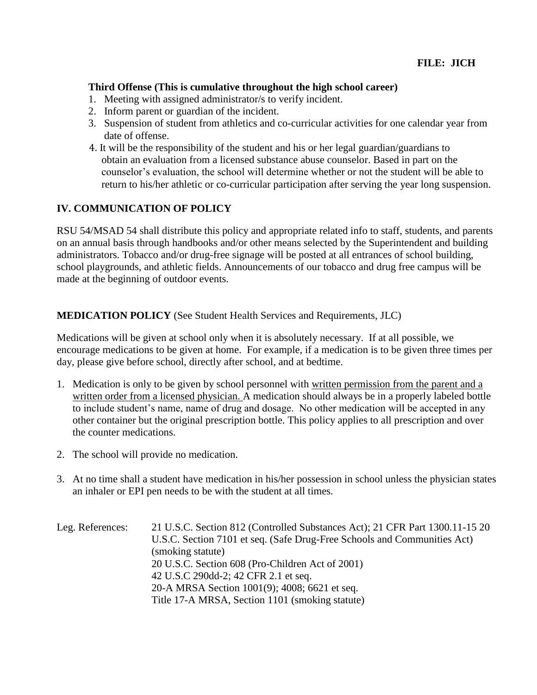#### **Third Offense (This is cumulative throughout the high school career)**

- 1. Meeting with assigned administrator/s to verify incident.
- 2. Inform parent or guardian of the incident.
- 3. Suspension of student from athletics and co-curricular activities for one calendar year from date of offense.
- 4. It will be the responsibility of the student and his or her legal guardian/guardians to obtain an evaluation from a licensed substance abuse counselor. Based in part on the counselor's evaluation, the school will determine whether or not the student will be able to return to his/her athletic or co-curricular participation after serving the year long suspension.

#### **IV. COMMUNICATION OF POLICY**

RSU 54/MSAD 54 shall distribute this policy and appropriate related info to staff, students, and parents on an annual basis through handbooks and/or other means selected by the Superintendent and building administrators. Tobacco and/or drug-free signage will be posted at all entrances of school building, school playgrounds, and athletic fields. Announcements of our tobacco and drug free campus will be made at the beginning of outdoor events.

#### **MEDICATION POLICY** (See Student Health Services and Requirements, JLC)

Medications will be given at school only when it is absolutely necessary. If at all possible, we encourage medications to be given at home. For example, if a medication is to be given three times per day, please give before school, directly after school, and at bedtime.

- 1. Medication is only to be given by school personnel with written permission from the parent and a written order from a licensed physician. A medication should always be in a properly labeled bottle to include student's name, name of drug and dosage. No other medication will be accepted in any other container but the original prescription bottle. This policy applies to all prescription and over the counter medications.
- 2. The school will provide no medication.
- 3. At no time shall a student have medication in his/her possession in school unless the physician states an inhaler or EPI pen needs to be with the student at all times.

| Leg. References: | 21 U.S.C. Section 812 (Controlled Substances Act); 21 CFR Part 1300.11-15 20 |
|------------------|------------------------------------------------------------------------------|
|                  | U.S.C. Section 7101 et seq. (Safe Drug-Free Schools and Communities Act)     |
|                  | (smoking statute)                                                            |
|                  | 20 U.S.C. Section 608 (Pro-Children Act of 2001)                             |
|                  | 42 U.S.C 290dd-2; 42 CFR 2.1 et seq.                                         |
|                  | 20-A MRSA Section 1001(9); 4008; 6621 et seq.                                |
|                  | Title 17-A MRSA, Section 1101 (smoking statute)                              |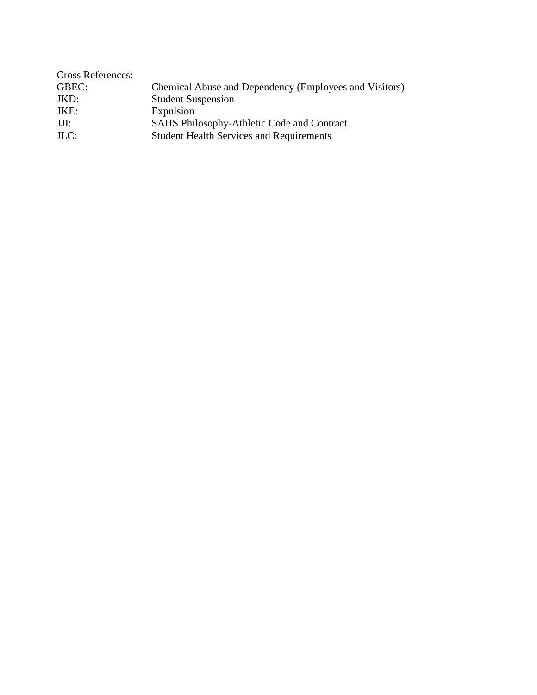| <b>Cross References:</b> |                                                        |
|--------------------------|--------------------------------------------------------|
| GBEC:                    | Chemical Abuse and Dependency (Employees and Visitors) |
| JKD:                     | <b>Student Suspension</b>                              |
| JKE:                     | Expulsion                                              |
| JJI:                     | SAHS Philosophy-Athletic Code and Contract             |
| $JLC$ :                  | <b>Student Health Services and Requirements</b>        |